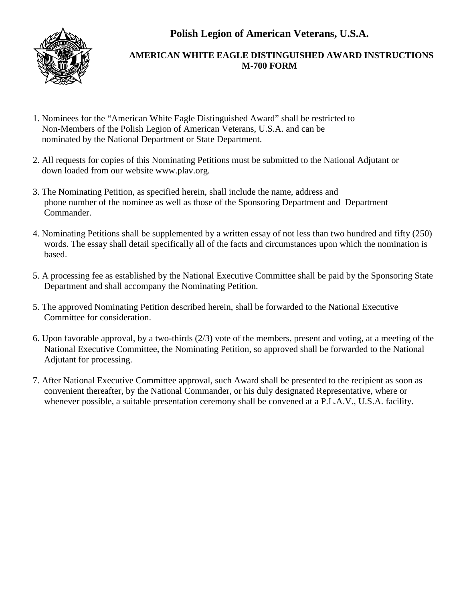**Polish Legion of American Veterans, U.S.A.**



## **AMERICAN WHITE EAGLE DISTINGUISHED AWARD INSTRUCTIONS M-700 FORM**

- 1. Nominees for the "American White Eagle Distinguished Award" shall be restricted to Non-Members of the Polish Legion of American Veterans, U.S.A. and can be nominated by the National Department or State Department.
- 2. All requests for copies of this Nominating Petitions must be submitted to the National Adjutant or down loaded from our website www.plav.org.
- 3. The Nominating Petition, as specified herein, shall include the name, address and phone number of the nominee as well as those of the Sponsoring Department and Department Commander.
- 4. Nominating Petitions shall be supplemented by a written essay of not less than two hundred and fifty (250) words. The essay shall detail specifically all of the facts and circumstances upon which the nomination is based.
- 5. A processing fee as established by the National Executive Committee shall be paid by the Sponsoring State Department and shall accompany the Nominating Petition.
- 5. The approved Nominating Petition described herein, shall be forwarded to the National Executive Committee for consideration.
- 6. Upon favorable approval, by a two-thirds (2/3) vote of the members, present and voting, at a meeting of the National Executive Committee, the Nominating Petition, so approved shall be forwarded to the National Adjutant for processing.
- 7. After National Executive Committee approval, such Award shall be presented to the recipient as soon as convenient thereafter, by the National Commander, or his duly designated Representative, where or whenever possible, a suitable presentation ceremony shall be convened at a P.L.A.V., U.S.A. facility.